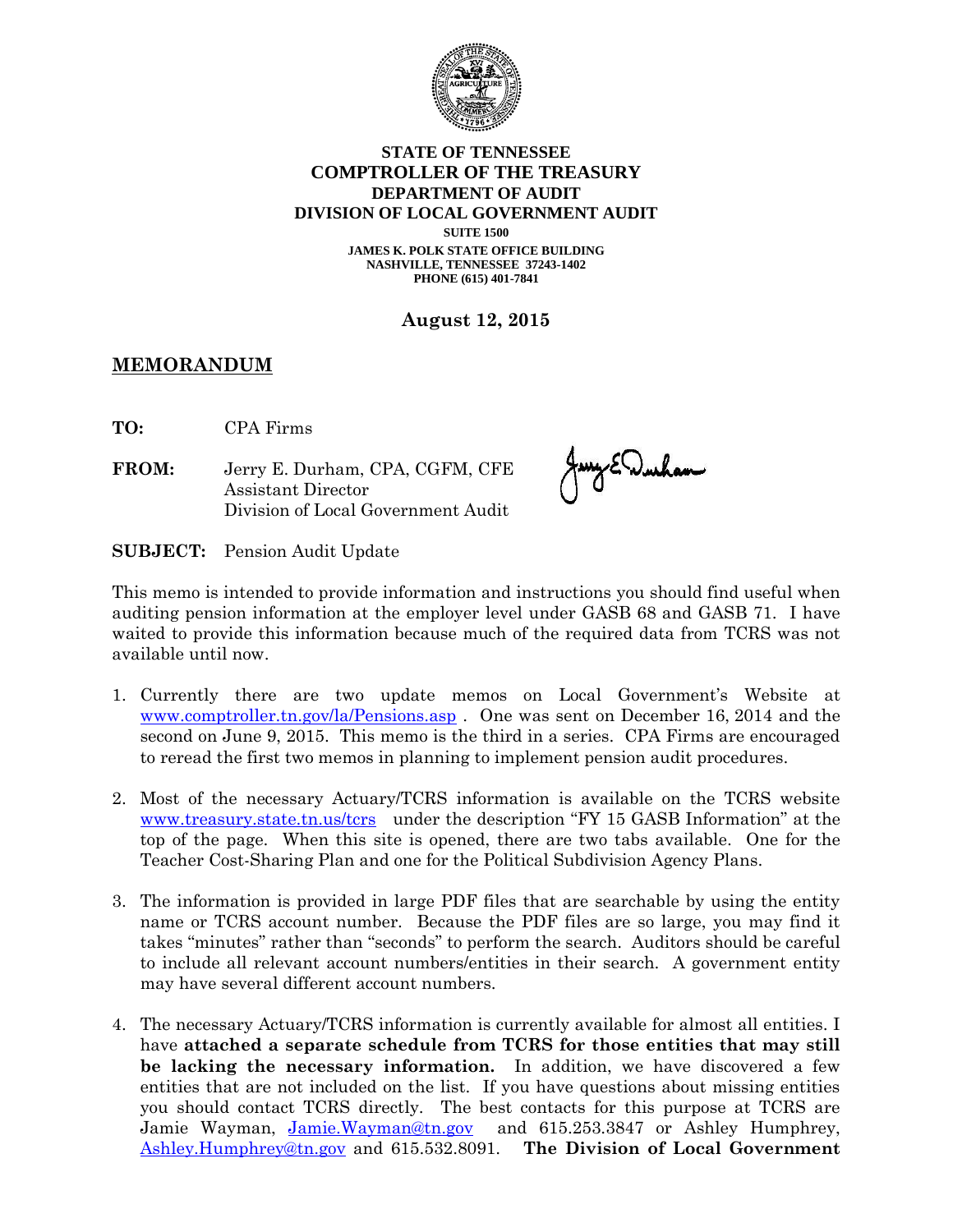

## **STATE OF TENNESSEE COMPTROLLER OF THE TREASURY DEPARTMENT OF AUDIT DIVISION OF LOCAL GOVERNMENT AUDIT SUITE 1500**

**JAMES K. POLK STATE OFFICE BUILDING NASHVILLE, TENNESSEE 37243-1402 PHONE (615) 401-7841**

**August 12, 2015**

## **MEMORANDUM**

**TO:** CPA Firms

**FROM:** Jerry E. Durham, CPA, CGFM, CFE Assistant Director Division of Local Government Audit

Jany E. Wurham

**SUBJECT:** Pension Audit Update

This memo is intended to provide information and instructions you should find useful when auditing pension information at the employer level under GASB 68 and GASB 71. I have waited to provide this information because much of the required data from TCRS was not available until now.

- 1. Currently there are two update memos on Local Government's Website at [www.comptroller.tn.gov/la/Pensions.asp](http://www.comptroller.tn.gov/la/Pensions.asp) . One was sent on December 16, 2014 and the second on June 9, 2015. This memo is the third in a series. CPA Firms are encouraged to reread the first two memos in planning to implement pension audit procedures.
- 2. Most of the necessary Actuary/TCRS information is available on the TCRS website [www.treasury.state.tn.us/tcrs](http://www.treasury.state.tn.us/tcrs) under the description "FY 15 GASB Information" at the top of the page. When this site is opened, there are two tabs available. One for the Teacher Cost-Sharing Plan and one for the Political Subdivision Agency Plans.
- 3. The information is provided in large PDF files that are searchable by using the entity name or TCRS account number. Because the PDF files are so large, you may find it takes "minutes" rather than "seconds" to perform the search. Auditors should be careful to include all relevant account numbers/entities in their search. A government entity may have several different account numbers.
- 4. The necessary Actuary/TCRS information is currently available for almost all entities. I have **attached a separate schedule from TCRS for those entities that may still be lacking the necessary information.** In addition, we have discovered a few entities that are not included on the list. If you have questions about missing entities you should contact TCRS directly. The best contacts for this purpose at TCRS are Jamie Wayman, [Jamie.Wayman@tn.gov](mailto:Jamie.Wayman@tn.gov) and 615.253.3847 or Ashley Humphrey, [Ashley.Humphrey@tn.gov](mailto:Ashley.Humphrey@tn.gov) and 615.532.8091. **The Division of Local Government**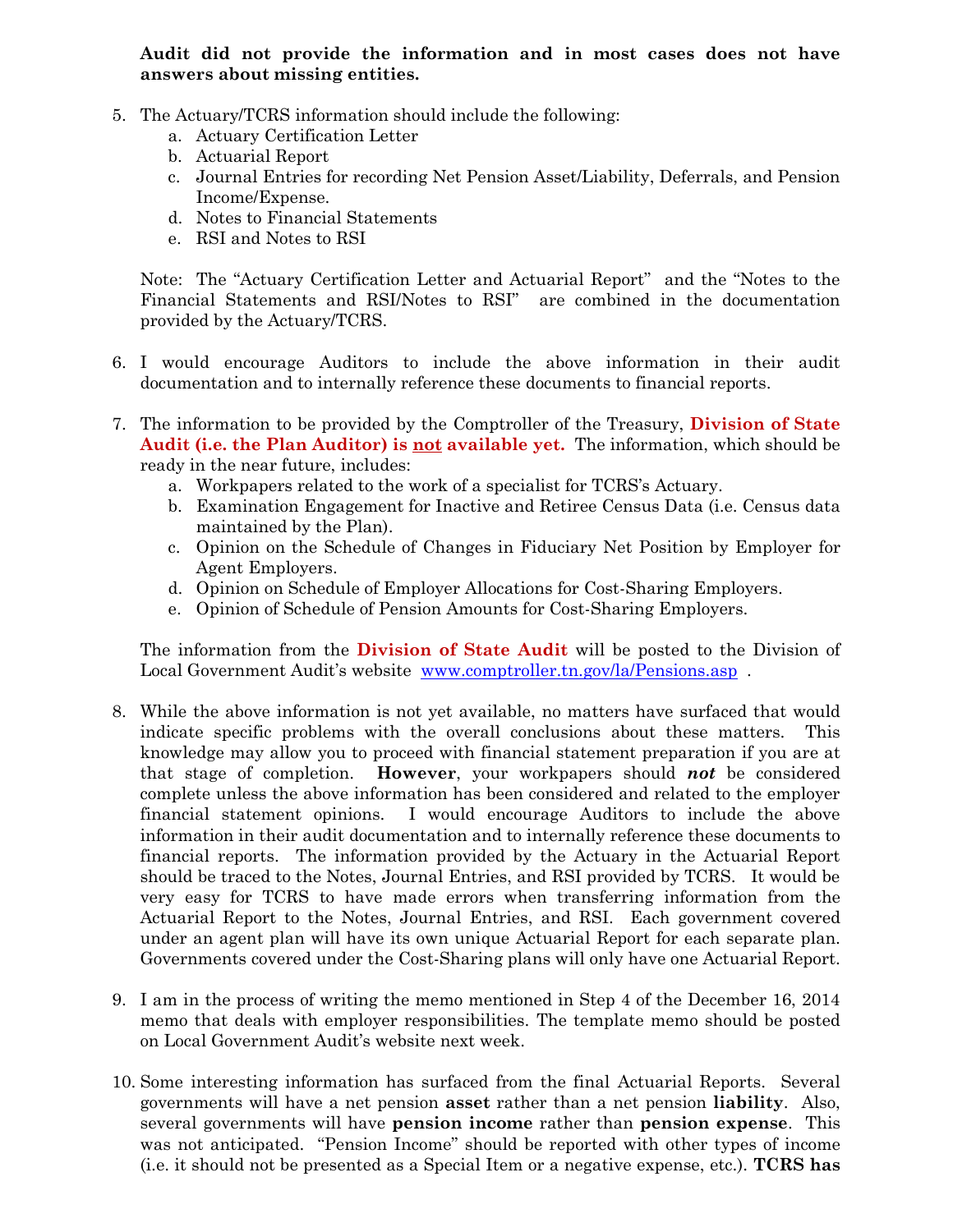## **Audit did not provide the information and in most cases does not have answers about missing entities.**

- 5. The Actuary/TCRS information should include the following:
	- a. Actuary Certification Letter
	- b. Actuarial Report
	- c. Journal Entries for recording Net Pension Asset/Liability, Deferrals, and Pension Income/Expense.
	- d. Notes to Financial Statements
	- e. RSI and Notes to RSI

Note: The "Actuary Certification Letter and Actuarial Report" and the "Notes to the Financial Statements and RSI/Notes to RSI" are combined in the documentation provided by the Actuary/TCRS.

- 6. I would encourage Auditors to include the above information in their audit documentation and to internally reference these documents to financial reports.
- 7. The information to be provided by the Comptroller of the Treasury, **Division of State Audit (i.e. the Plan Auditor) is not available yet.** The information, which should be ready in the near future, includes:
	- a. Workpapers related to the work of a specialist for TCRS's Actuary.
	- b. Examination Engagement for Inactive and Retiree Census Data (i.e. Census data maintained by the Plan).
	- c. Opinion on the Schedule of Changes in Fiduciary Net Position by Employer for Agent Employers.
	- d. Opinion on Schedule of Employer Allocations for Cost-Sharing Employers.
	- e. Opinion of Schedule of Pension Amounts for Cost-Sharing Employers.

The information from the **Division of State Audit** will be posted to the Division of Local Government Audit's website [www.comptroller.tn.gov/la/Pensions.asp](http://www.comptroller.tn.gov/la/Pensions.asp) .

- 8. While the above information is not yet available, no matters have surfaced that would indicate specific problems with the overall conclusions about these matters. This knowledge may allow you to proceed with financial statement preparation if you are at that stage of completion. **However**, your workpapers should *not* be considered complete unless the above information has been considered and related to the employer financial statement opinions. I would encourage Auditors to include the above information in their audit documentation and to internally reference these documents to financial reports. The information provided by the Actuary in the Actuarial Report should be traced to the Notes, Journal Entries, and RSI provided by TCRS. It would be very easy for TCRS to have made errors when transferring information from the Actuarial Report to the Notes, Journal Entries, and RSI. Each government covered under an agent plan will have its own unique Actuarial Report for each separate plan. Governments covered under the Cost-Sharing plans will only have one Actuarial Report.
- 9. I am in the process of writing the memo mentioned in Step 4 of the December 16, 2014 memo that deals with employer responsibilities. The template memo should be posted on Local Government Audit's website next week.
- 10. Some interesting information has surfaced from the final Actuarial Reports. Several governments will have a net pension **asset** rather than a net pension **liability**. Also, several governments will have **pension income** rather than **pension expense**. This was not anticipated. "Pension Income" should be reported with other types of income (i.e. it should not be presented as a Special Item or a negative expense, etc.). **TCRS has**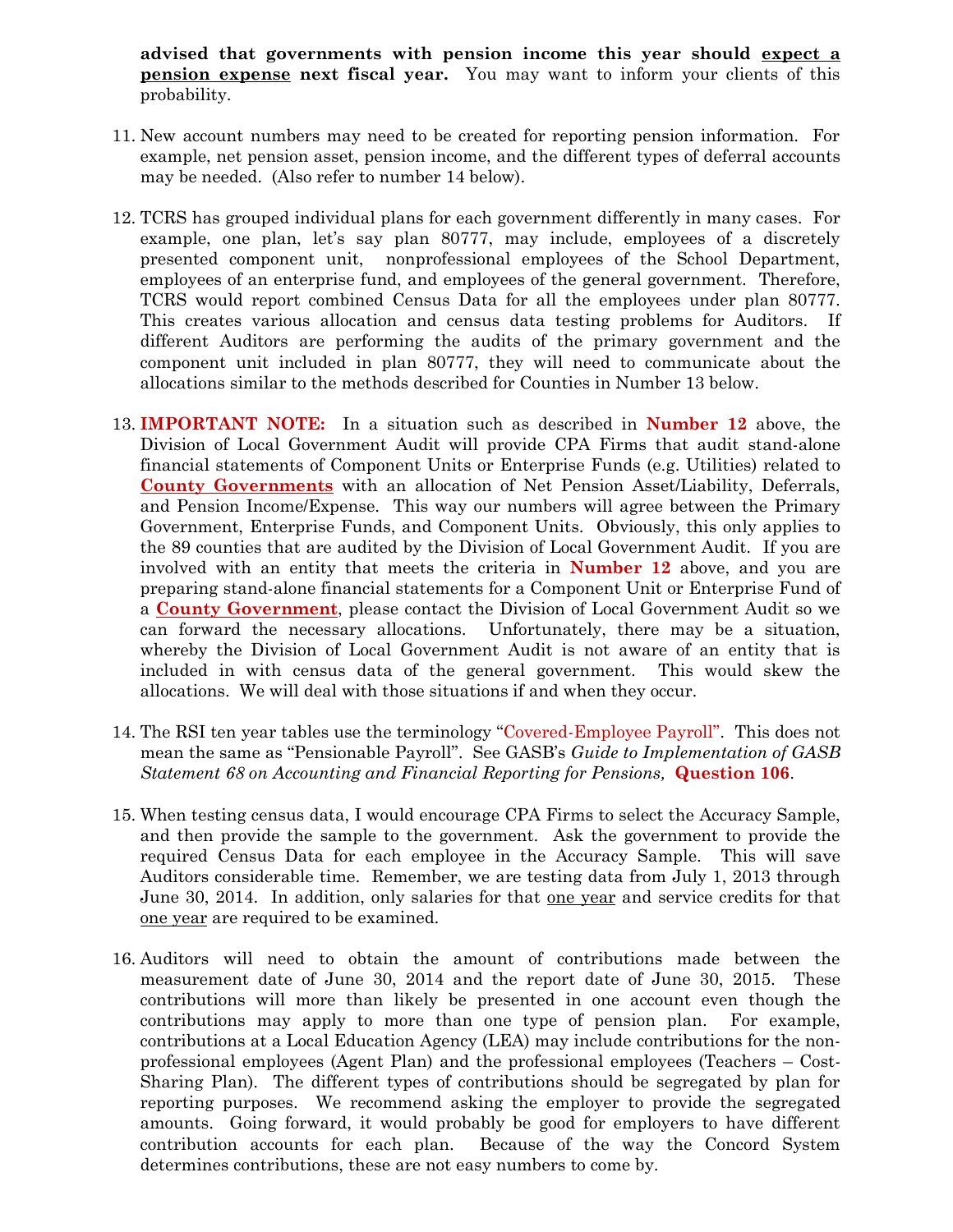**advised that governments with pension income this year should expect a pension expense next fiscal year.** You may want to inform your clients of this probability.

- 11. New account numbers may need to be created for reporting pension information. For example, net pension asset, pension income, and the different types of deferral accounts may be needed. (Also refer to number 14 below).
- 12. TCRS has grouped individual plans for each government differently in many cases. For example, one plan, let's say plan 80777, may include, employees of a discretely presented component unit, nonprofessional employees of the School Department, employees of an enterprise fund, and employees of the general government. Therefore, TCRS would report combined Census Data for all the employees under plan 80777. This creates various allocation and census data testing problems for Auditors. If different Auditors are performing the audits of the primary government and the component unit included in plan 80777, they will need to communicate about the allocations similar to the methods described for Counties in Number 13 below.
- 13. **IMPORTANT NOTE:** In a situation such as described in **Number 12** above, the Division of Local Government Audit will provide CPA Firms that audit stand-alone financial statements of Component Units or Enterprise Funds (e.g. Utilities) related to **County Governments** with an allocation of Net Pension Asset/Liability, Deferrals, and Pension Income/Expense. This way our numbers will agree between the Primary Government, Enterprise Funds, and Component Units. Obviously, this only applies to the 89 counties that are audited by the Division of Local Government Audit. If you are involved with an entity that meets the criteria in **Number 12** above, and you are preparing stand-alone financial statements for a Component Unit or Enterprise Fund of a **County Government**, please contact the Division of Local Government Audit so we can forward the necessary allocations. Unfortunately, there may be a situation, whereby the Division of Local Government Audit is not aware of an entity that is included in with census data of the general government. This would skew the allocations. We will deal with those situations if and when they occur.
- 14. The RSI ten year tables use the terminology "Covered-Employee Payroll". This does not mean the same as "Pensionable Payroll". See GASB's *Guide to Implementation of GASB Statement 68 on Accounting and Financial Reporting for Pensions,* **Question 106**.
- 15. When testing census data, I would encourage CPA Firms to select the Accuracy Sample, and then provide the sample to the government. Ask the government to provide the required Census Data for each employee in the Accuracy Sample. This will save Auditors considerable time. Remember, we are testing data from July 1, 2013 through June 30, 2014. In addition, only salaries for that <u>one year</u> and service credits for that one year are required to be examined.
- 16. Auditors will need to obtain the amount of contributions made between the measurement date of June 30, 2014 and the report date of June 30, 2015. These contributions will more than likely be presented in one account even though the contributions may apply to more than one type of pension plan. For example, contributions at a Local Education Agency (LEA) may include contributions for the nonprofessional employees (Agent Plan) and the professional employees (Teachers – Cost-Sharing Plan). The different types of contributions should be segregated by plan for reporting purposes. We recommend asking the employer to provide the segregated amounts. Going forward, it would probably be good for employers to have different contribution accounts for each plan. Because of the way the Concord System determines contributions, these are not easy numbers to come by.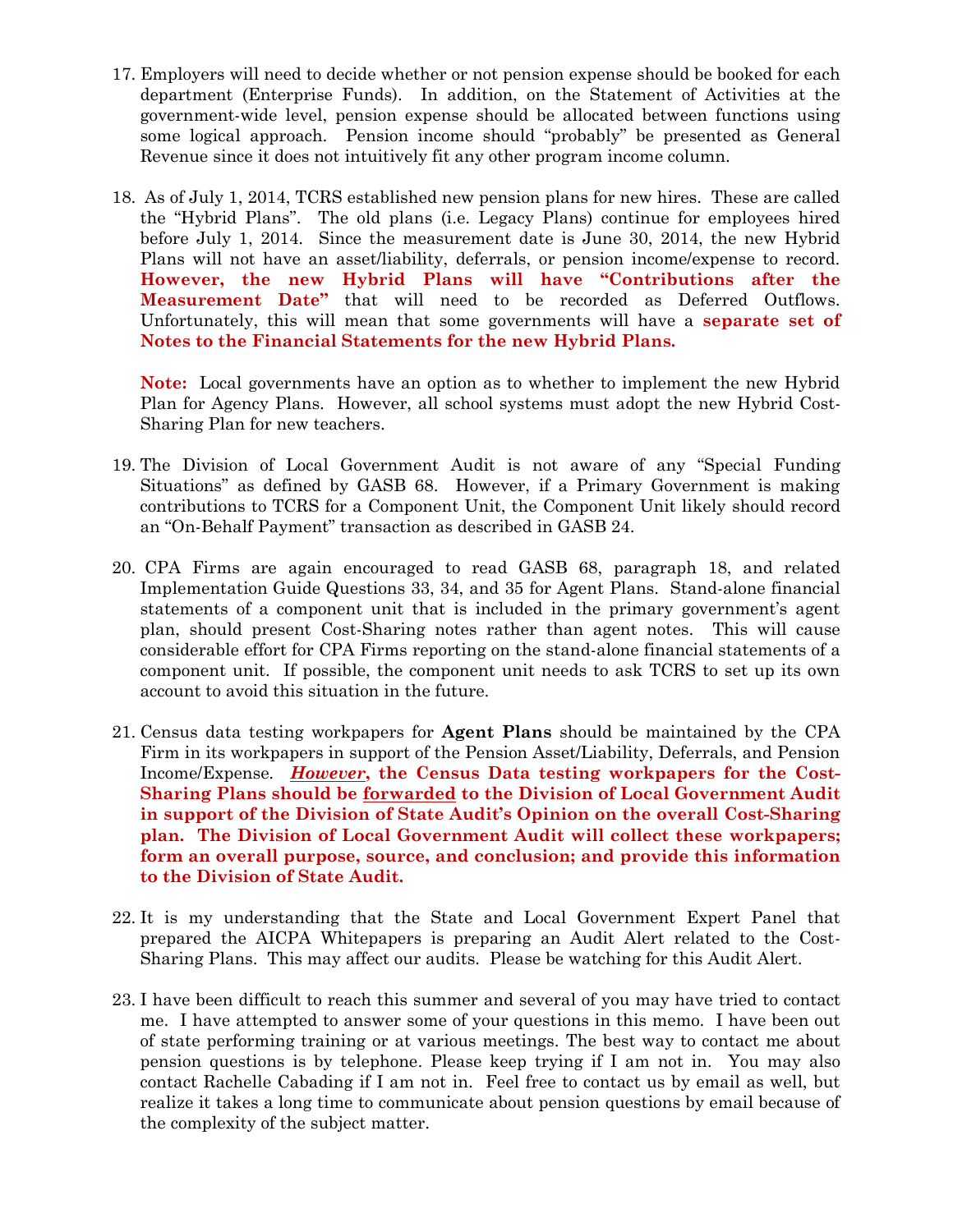- 17. Employers will need to decide whether or not pension expense should be booked for each department (Enterprise Funds). In addition, on the Statement of Activities at the government-wide level, pension expense should be allocated between functions using some logical approach. Pension income should "probably" be presented as General Revenue since it does not intuitively fit any other program income column.
- 18. As of July 1, 2014, TCRS established new pension plans for new hires. These are called the "Hybrid Plans". The old plans (i.e. Legacy Plans) continue for employees hired before July 1, 2014. Since the measurement date is June 30, 2014, the new Hybrid Plans will not have an asset/liability, deferrals, or pension income/expense to record. **However, the new Hybrid Plans will have "Contributions after the Measurement Date"** that will need to be recorded as Deferred Outflows. Unfortunately, this will mean that some governments will have a **separate set of Notes to the Financial Statements for the new Hybrid Plans.**

**Note:** Local governments have an option as to whether to implement the new Hybrid Plan for Agency Plans. However, all school systems must adopt the new Hybrid Cost-Sharing Plan for new teachers.

- 19. The Division of Local Government Audit is not aware of any "Special Funding Situations" as defined by GASB 68. However, if a Primary Government is making contributions to TCRS for a Component Unit, the Component Unit likely should record an "On-Behalf Payment" transaction as described in GASB 24.
- 20. CPA Firms are again encouraged to read GASB 68, paragraph 18, and related Implementation Guide Questions 33, 34, and 35 for Agent Plans. Stand-alone financial statements of a component unit that is included in the primary government's agent plan, should present Cost-Sharing notes rather than agent notes. This will cause considerable effort for CPA Firms reporting on the stand-alone financial statements of a component unit. If possible, the component unit needs to ask TCRS to set up its own account to avoid this situation in the future.
- 21. Census data testing workpapers for **Agent Plans** should be maintained by the CPA Firm in its workpapers in support of the Pension Asset/Liability, Deferrals, and Pension Income/Expense. *However***, the Census Data testing workpapers for the Cost-Sharing Plans should be forwarded to the Division of Local Government Audit in support of the Division of State Audit's Opinion on the overall Cost-Sharing plan. The Division of Local Government Audit will collect these workpapers; form an overall purpose, source, and conclusion; and provide this information to the Division of State Audit.**
- 22. It is my understanding that the State and Local Government Expert Panel that prepared the AICPA Whitepapers is preparing an Audit Alert related to the Cost-Sharing Plans. This may affect our audits. Please be watching for this Audit Alert.
- 23. I have been difficult to reach this summer and several of you may have tried to contact me. I have attempted to answer some of your questions in this memo. I have been out of state performing training or at various meetings. The best way to contact me about pension questions is by telephone. Please keep trying if I am not in. You may also contact Rachelle Cabading if I am not in. Feel free to contact us by email as well, but realize it takes a long time to communicate about pension questions by email because of the complexity of the subject matter.